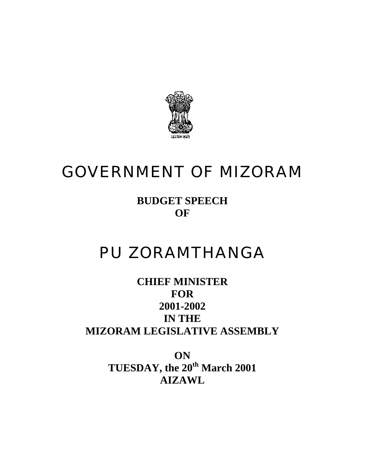

# GOVERNMENT OF MIZORAM

**BUDGET SPEECH OF**

# PU ZORAMTHANGA

**CHIEF MINISTER FOR 2001-2002 IN THE MIZORAM LEGISLATIVE ASSEMBLY** 

> **ON TUESDAY, the 20th March 2001 AIZAWL**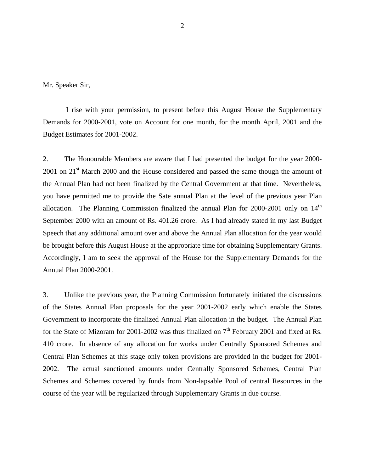Mr. Speaker Sir,

 I rise with your permission, to present before this August House the Supplementary Demands for 2000-2001, vote on Account for one month, for the month April, 2001 and the Budget Estimates for 2001-2002.

2. The Honourable Members are aware that I had presented the budget for the year 2000-  $2001$  on  $21<sup>st</sup>$  March 2000 and the House considered and passed the same though the amount of the Annual Plan had not been finalized by the Central Government at that time. Nevertheless, you have permitted me to provide the Sate annual Plan at the level of the previous year Plan allocation. The Planning Commission finalized the annual Plan for  $2000-2001$  only on  $14<sup>th</sup>$ September 2000 with an amount of Rs. 401.26 crore. As I had already stated in my last Budget Speech that any additional amount over and above the Annual Plan allocation for the year would be brought before this August House at the appropriate time for obtaining Supplementary Grants. Accordingly, I am to seek the approval of the House for the Supplementary Demands for the Annual Plan 2000-2001.

3. Unlike the previous year, the Planning Commission fortunately initiated the discussions of the States Annual Plan proposals for the year 2001-2002 early which enable the States Government to incorporate the finalized Annual Plan allocation in the budget. The Annual Plan for the State of Mizoram for 2001-2002 was thus finalized on  $7<sup>th</sup>$  February 2001 and fixed at Rs. 410 crore. In absence of any allocation for works under Centrally Sponsored Schemes and Central Plan Schemes at this stage only token provisions are provided in the budget for 2001- 2002. The actual sanctioned amounts under Centrally Sponsored Schemes, Central Plan Schemes and Schemes covered by funds from Non-lapsable Pool of central Resources in the course of the year will be regularized through Supplementary Grants in due course.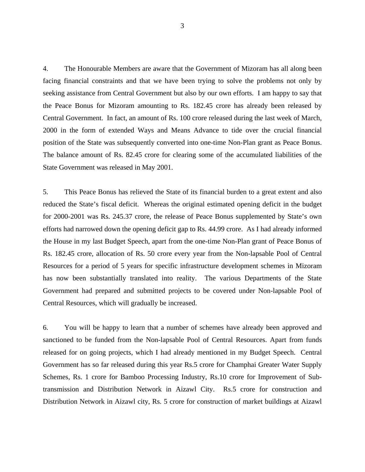4. The Honourable Members are aware that the Government of Mizoram has all along been facing financial constraints and that we have been trying to solve the problems not only by seeking assistance from Central Government but also by our own efforts. I am happy to say that the Peace Bonus for Mizoram amounting to Rs. 182.45 crore has already been released by Central Government. In fact, an amount of Rs. 100 crore released during the last week of March, 2000 in the form of extended Ways and Means Advance to tide over the crucial financial position of the State was subsequently converted into one-time Non-Plan grant as Peace Bonus. The balance amount of Rs. 82.45 crore for clearing some of the accumulated liabilities of the State Government was released in May 2001.

5. This Peace Bonus has relieved the State of its financial burden to a great extent and also reduced the State's fiscal deficit. Whereas the original estimated opening deficit in the budget for 2000-2001 was Rs. 245.37 crore, the release of Peace Bonus supplemented by State's own efforts had narrowed down the opening deficit gap to Rs. 44.99 crore. As I had already informed the House in my last Budget Speech, apart from the one-time Non-Plan grant of Peace Bonus of Rs. 182.45 crore, allocation of Rs. 50 crore every year from the Non-lapsable Pool of Central Resources for a period of 5 years for specific infrastructure development schemes in Mizoram has now been substantially translated into reality. The various Departments of the State Government had prepared and submitted projects to be covered under Non-lapsable Pool of Central Resources, which will gradually be increased.

6. You will be happy to learn that a number of schemes have already been approved and sanctioned to be funded from the Non-lapsable Pool of Central Resources. Apart from funds released for on going projects, which I had already mentioned in my Budget Speech. Central Government has so far released during this year Rs.5 crore for Champhai Greater Water Supply Schemes, Rs. 1 crore for Bamboo Processing Industry, Rs.10 crore for Improvement of Subtransmission and Distribution Network in Aizawl City. Rs.5 crore for construction and Distribution Network in Aizawl city, Rs. 5 crore for construction of market buildings at Aizawl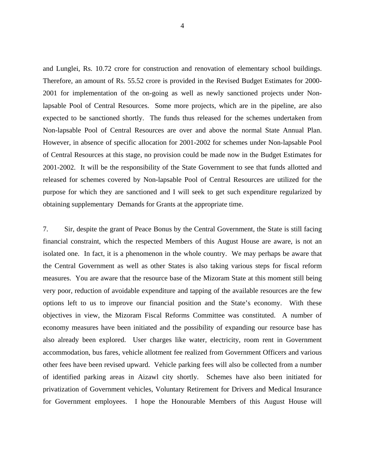and Lunglei, Rs. 10.72 crore for construction and renovation of elementary school buildings. Therefore, an amount of Rs. 55.52 crore is provided in the Revised Budget Estimates for 2000- 2001 for implementation of the on-going as well as newly sanctioned projects under Nonlapsable Pool of Central Resources. Some more projects, which are in the pipeline, are also expected to be sanctioned shortly. The funds thus released for the schemes undertaken from Non-lapsable Pool of Central Resources are over and above the normal State Annual Plan. However, in absence of specific allocation for 2001-2002 for schemes under Non-lapsable Pool of Central Resources at this stage, no provision could be made now in the Budget Estimates for 2001-2002. It will be the responsibility of the State Government to see that funds allotted and released for schemes covered by Non-lapsable Pool of Central Resources are utilized for the purpose for which they are sanctioned and I will seek to get such expenditure regularized by obtaining supplementary Demands for Grants at the appropriate time.

7. Sir, despite the grant of Peace Bonus by the Central Government, the State is still facing financial constraint, which the respected Members of this August House are aware, is not an isolated one. In fact, it is a phenomenon in the whole country. We may perhaps be aware that the Central Government as well as other States is also taking various steps for fiscal reform measures. You are aware that the resource base of the Mizoram State at this moment still being very poor, reduction of avoidable expenditure and tapping of the available resources are the few options left to us to improve our financial position and the State's economy. With these objectives in view, the Mizoram Fiscal Reforms Committee was constituted. A number of economy measures have been initiated and the possibility of expanding our resource base has also already been explored. User charges like water, electricity, room rent in Government accommodation, bus fares, vehicle allotment fee realized from Government Officers and various other fees have been revised upward. Vehicle parking fees will also be collected from a number of identified parking areas in Aizawl city shortly. Schemes have also been initiated for privatization of Government vehicles, Voluntary Retirement for Drivers and Medical Insurance for Government employees. I hope the Honourable Members of this August House will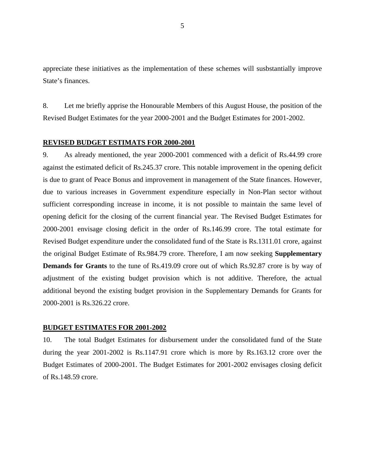appreciate these initiatives as the implementation of these schemes will susbstantially improve State's finances.

8. Let me briefly apprise the Honourable Members of this August House, the position of the Revised Budget Estimates for the year 2000-2001 and the Budget Estimates for 2001-2002.

# **REVISED BUDGET ESTIMATS FOR 2000-2001**

9. As already mentioned, the year 2000-2001 commenced with a deficit of Rs.44.99 crore against the estimated deficit of Rs.245.37 crore. This notable improvement in the opening deficit is due to grant of Peace Bonus and improvement in management of the State finances. However, due to various increases in Government expenditure especially in Non-Plan sector without sufficient corresponding increase in income, it is not possible to maintain the same level of opening deficit for the closing of the current financial year. The Revised Budget Estimates for 2000-2001 envisage closing deficit in the order of Rs.146.99 crore. The total estimate for Revised Budget expenditure under the consolidated fund of the State is Rs.1311.01 crore, against the original Budget Estimate of Rs.984.79 crore. Therefore, I am now seeking **Supplementary Demands for Grants** to the tune of Rs.419.09 crore out of which Rs.92.87 crore is by way of adjustment of the existing budget provision which is not additive. Therefore, the actual additional beyond the existing budget provision in the Supplementary Demands for Grants for 2000-2001 is Rs.326.22 crore.

### **BUDGET ESTIMATES FOR 2001-2002**

10. The total Budget Estimates for disbursement under the consolidated fund of the State during the year 2001-2002 is Rs.1147.91 crore which is more by Rs.163.12 crore over the Budget Estimates of 2000-2001. The Budget Estimates for 2001-2002 envisages closing deficit of Rs.148.59 crore.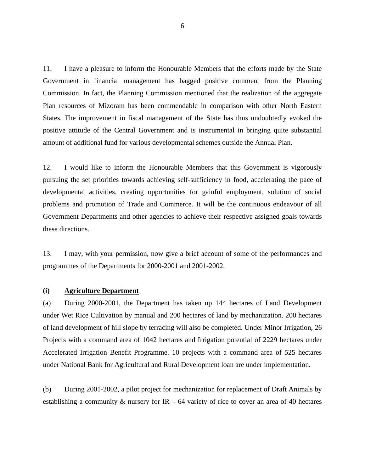11. I have a pleasure to inform the Honourable Members that the efforts made by the State Government in financial management has bagged positive comment from the Planning Commission. In fact, the Planning Commission mentioned that the realization of the aggregate Plan resources of Mizoram has been commendable in comparison with other North Eastern States. The improvement in fiscal management of the State has thus undoubtedly evoked the positive attitude of the Central Government and is instrumental in bringing quite substantial amount of additional fund for various developmental schemes outside the Annual Plan.

12. I would like to inform the Honourable Members that this Government is vigorously pursuing the set priorities towards achieving self-sufficiency in food, accelerating the pace of developmental activities, creating opportunities for gainful employment, solution of social problems and promotion of Trade and Commerce. It will be the continuous endeavour of all Government Departments and other agencies to achieve their respective assigned goals towards these directions.

13. I may, with your permission, now give a brief account of some of the performances and programmes of the Departments for 2000-2001 and 2001-2002.

#### **(i) Agriculture Department**

(a) During 2000-2001, the Department has taken up 144 hectares of Land Development under Wet Rice Cultivation by manual and 200 hectares of land by mechanization. 200 hectares of land development of hill slope by terracing will also be completed. Under Minor Irrigation, 26 Projects with a command area of 1042 hectares and Irrigation potential of 2229 hectares under Accelerated Irrigation Benefit Programme. 10 projects with a command area of 525 hectares under National Bank for Agricultural and Rural Development loan are under implementation.

(b) During 2001-2002, a pilot project for mechanization for replacement of Draft Animals by establishing a community  $\&$  nursery for IR – 64 variety of rice to cover an area of 40 hectares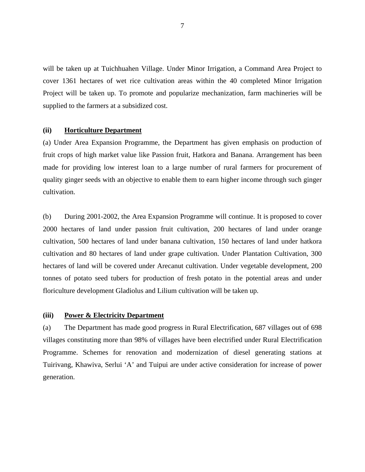will be taken up at Tuichhuahen Village. Under Minor Irrigation, a Command Area Project to cover 1361 hectares of wet rice cultivation areas within the 40 completed Minor Irrigation Project will be taken up. To promote and popularize mechanization, farm machineries will be supplied to the farmers at a subsidized cost.

# **(ii) Horticulture Department**

(a) Under Area Expansion Programme, the Department has given emphasis on production of fruit crops of high market value like Passion fruit, Hatkora and Banana. Arrangement has been made for providing low interest loan to a large number of rural farmers for procurement of quality ginger seeds with an objective to enable them to earn higher income through such ginger cultivation.

(b) During 2001-2002, the Area Expansion Programme will continue. It is proposed to cover 2000 hectares of land under passion fruit cultivation, 200 hectares of land under orange cultivation, 500 hectares of land under banana cultivation, 150 hectares of land under hatkora cultivation and 80 hectares of land under grape cultivation. Under Plantation Cultivation, 300 hectares of land will be covered under Arecanut cultivation. Under vegetable development, 200 tonnes of potato seed tubers for production of fresh potato in the potential areas and under floriculture development Gladiolus and Lilium cultivation will be taken up.

## **(iii) Power & Electricity Department**

(a) The Department has made good progress in Rural Electrification, 687 villages out of 698 villages constituting more than 98% of villages have been electrified under Rural Electrification Programme. Schemes for renovation and modernization of diesel generating stations at Tuirivang, Khawiva, Serlui 'A' and Tuipui are under active consideration for increase of power generation.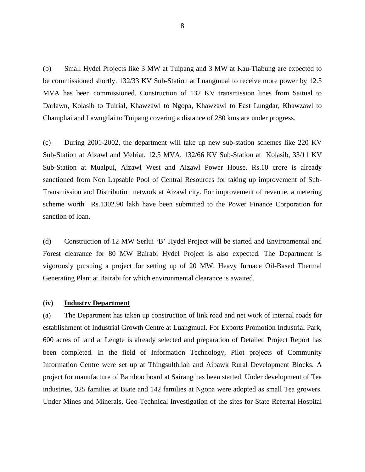(b) Small Hydel Projects like 3 MW at Tuipang and 3 MW at Kau-Tlabung are expected to be commissioned shortly. 132/33 KV Sub-Station at Luangmual to receive more power by 12.5 MVA has been commissioned. Construction of 132 KV transmission lines from Saitual to Darlawn, Kolasib to Tuirial, Khawzawl to Ngopa, Khawzawl to East Lungdar, Khawzawl to Champhai and Lawngtlai to Tuipang covering a distance of 280 kms are under progress.

(c) During 2001-2002, the department will take up new sub-station schemes like 220 KV Sub-Station at Aizawl and Melriat, 12.5 MVA, 132/66 KV Sub-Station at Kolasib, 33/11 KV Sub-Station at Mualpui, Aizawl West and Aizawl Power House. Rs.10 crore is already sanctioned from Non Lapsable Pool of Central Resources for taking up improvement of Sub-Transmission and Distribution network at Aizawl city. For improvement of revenue, a metering scheme worth Rs.1302.90 lakh have been submitted to the Power Finance Corporation for sanction of loan.

(d) Construction of 12 MW Serlui 'B' Hydel Project will be started and Environmental and Forest clearance for 80 MW Bairabi Hydel Project is also expected. The Department is vigorously pursuing a project for setting up of 20 MW. Heavy furnace Oil-Based Thermal Generating Plant at Bairabi for which environmental clearance is awaited.

# **(iv) Industry Department**

(a) The Department has taken up construction of link road and net work of internal roads for establishment of Industrial Growth Centre at Luangmual. For Exports Promotion Industrial Park, 600 acres of land at Lengte is already selected and preparation of Detailed Project Report has been completed. In the field of Information Technology, Pilot projects of Community Information Centre were set up at Thingsulthliah and Aibawk Rural Development Blocks. A project for manufacture of Bamboo board at Sairang has been started. Under development of Tea industries, 325 families at Biate and 142 families at Ngopa were adopted as small Tea growers. Under Mines and Minerals, Geo-Technical Investigation of the sites for State Referral Hospital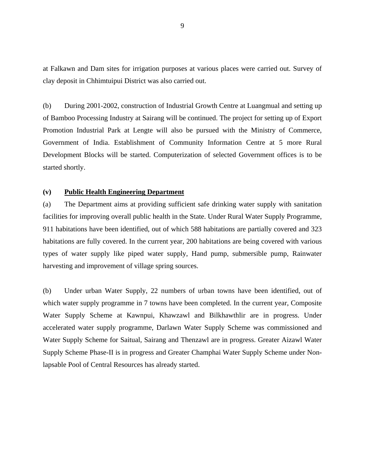at Falkawn and Dam sites for irrigation purposes at various places were carried out. Survey of clay deposit in Chhimtuipui District was also carried out.

(b) During 2001-2002, construction of Industrial Growth Centre at Luangmual and setting up of Bamboo Processing Industry at Sairang will be continued. The project for setting up of Export Promotion Industrial Park at Lengte will also be pursued with the Ministry of Commerce, Government of India. Establishment of Community Information Centre at 5 more Rural Development Blocks will be started. Computerization of selected Government offices is to be started shortly.

## **(v) Public Health Engineering Department**

(a) The Department aims at providing sufficient safe drinking water supply with sanitation facilities for improving overall public health in the State. Under Rural Water Supply Programme, 911 habitations have been identified, out of which 588 habitations are partially covered and 323 habitations are fully covered. In the current year, 200 habitations are being covered with various types of water supply like piped water supply, Hand pump, submersible pump, Rainwater harvesting and improvement of village spring sources.

(b) Under urban Water Supply, 22 numbers of urban towns have been identified, out of which water supply programme in 7 towns have been completed. In the current year, Composite Water Supply Scheme at Kawnpui, Khawzawl and Bilkhawthlir are in progress. Under accelerated water supply programme, Darlawn Water Supply Scheme was commissioned and Water Supply Scheme for Saitual, Sairang and Thenzawl are in progress. Greater Aizawl Water Supply Scheme Phase-II is in progress and Greater Champhai Water Supply Scheme under Nonlapsable Pool of Central Resources has already started.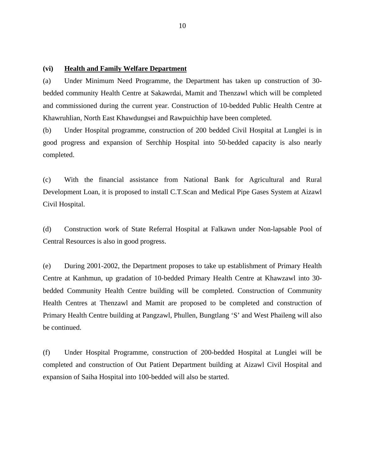# **(vi) Health and Family Welfare Department**

(a) Under Minimum Need Programme, the Department has taken up construction of 30 bedded community Health Centre at Sakawrdai, Mamit and Thenzawl which will be completed and commissioned during the current year. Construction of 10-bedded Public Health Centre at Khawruhlian, North East Khawdungsei and Rawpuichhip have been completed.

(b) Under Hospital programme, construction of 200 bedded Civil Hospital at Lunglei is in good progress and expansion of Serchhip Hospital into 50-bedded capacity is also nearly completed.

(c) With the financial assistance from National Bank for Agricultural and Rural Development Loan, it is proposed to install C.T.Scan and Medical Pipe Gases System at Aizawl Civil Hospital.

(d) Construction work of State Referral Hospital at Falkawn under Non-lapsable Pool of Central Resources is also in good progress.

(e) During 2001-2002, the Department proposes to take up establishment of Primary Health Centre at Kanhmun, up gradation of 10-bedded Primary Health Centre at Khawzawl into 30 bedded Community Health Centre building will be completed. Construction of Community Health Centres at Thenzawl and Mamit are proposed to be completed and construction of Primary Health Centre building at Pangzawl, Phullen, Bungtlang 'S' and West Phaileng will also be continued.

(f) Under Hospital Programme, construction of 200-bedded Hospital at Lunglei will be completed and construction of Out Patient Department building at Aizawl Civil Hospital and expansion of Saiha Hospital into 100-bedded will also be started.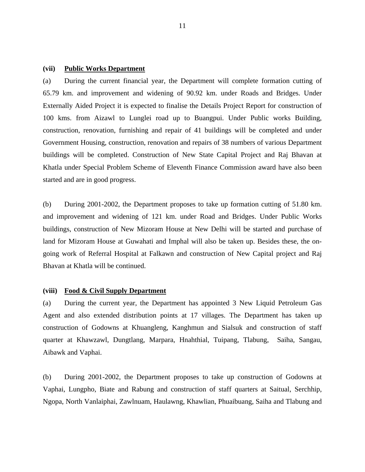# **(vii) Public Works Department**

(a) During the current financial year, the Department will complete formation cutting of 65.79 km. and improvement and widening of 90.92 km. under Roads and Bridges. Under Externally Aided Project it is expected to finalise the Details Project Report for construction of 100 kms. from Aizawl to Lunglei road up to Buangpui. Under Public works Building, construction, renovation, furnishing and repair of 41 buildings will be completed and under Government Housing, construction, renovation and repairs of 38 numbers of various Department buildings will be completed. Construction of New State Capital Project and Raj Bhavan at Khatla under Special Problem Scheme of Eleventh Finance Commission award have also been started and are in good progress.

(b) During 2001-2002, the Department proposes to take up formation cutting of 51.80 km. and improvement and widening of 121 km. under Road and Bridges. Under Public Works buildings, construction of New Mizoram House at New Delhi will be started and purchase of land for Mizoram House at Guwahati and Imphal will also be taken up. Besides these, the ongoing work of Referral Hospital at Falkawn and construction of New Capital project and Raj Bhavan at Khatla will be continued.

#### **(viii) Food & Civil Supply Department**

(a) During the current year, the Department has appointed 3 New Liquid Petroleum Gas Agent and also extended distribution points at 17 villages. The Department has taken up construction of Godowns at Khuangleng, Kanghmun and Sialsuk and construction of staff quarter at Khawzawl, Dungtlang, Marpara, Hnahthial, Tuipang, Tlabung, Saiha, Sangau, Aibawk and Vaphai.

(b) During 2001-2002, the Department proposes to take up construction of Godowns at Vaphai, Lungpho, Biate and Rabung and construction of staff quarters at Saitual, Serchhip, Ngopa, North Vanlaiphai, Zawlnuam, Haulawng, Khawlian, Phuaibuang, Saiha and Tlabung and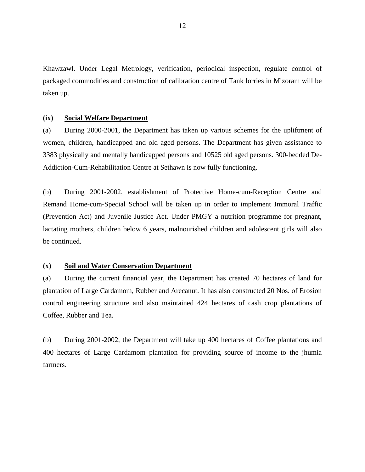Khawzawl. Under Legal Metrology, verification, periodical inspection, regulate control of packaged commodities and construction of calibration centre of Tank lorries in Mizoram will be taken up.

## **(ix) Social Welfare Department**

(a) During 2000-2001, the Department has taken up various schemes for the upliftment of women, children, handicapped and old aged persons. The Department has given assistance to 3383 physically and mentally handicapped persons and 10525 old aged persons. 300-bedded De-Addiction-Cum-Rehabilitation Centre at Sethawn is now fully functioning.

(b) During 2001-2002, establishment of Protective Home-cum-Reception Centre and Remand Home-cum-Special School will be taken up in order to implement Immoral Traffic (Prevention Act) and Juvenile Justice Act. Under PMGY a nutrition programme for pregnant, lactating mothers, children below 6 years, malnourished children and adolescent girls will also be continued.

# **(x) Soil and Water Conservation Department**

(a) During the current financial year, the Department has created 70 hectares of land for plantation of Large Cardamom, Rubber and Arecanut. It has also constructed 20 Nos. of Erosion control engineering structure and also maintained 424 hectares of cash crop plantations of Coffee, Rubber and Tea.

(b) During 2001-2002, the Department will take up 400 hectares of Coffee plantations and 400 hectares of Large Cardamom plantation for providing source of income to the jhumia farmers.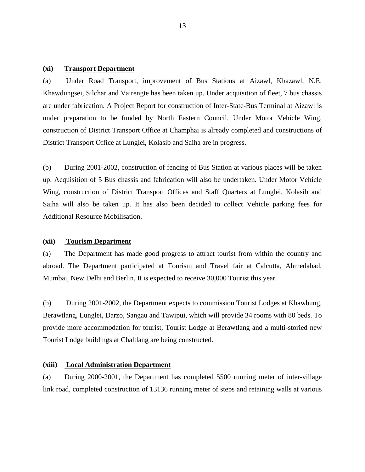# **(xi) Transport Department**

(a) Under Road Transport, improvement of Bus Stations at Aizawl, Khazawl, N.E. Khawdungsei, Silchar and Vairengte has been taken up. Under acquisition of fleet, 7 bus chassis are under fabrication. A Project Report for construction of Inter-State-Bus Terminal at Aizawl is under preparation to be funded by North Eastern Council. Under Motor Vehicle Wing, construction of District Transport Office at Champhai is already completed and constructions of District Transport Office at Lunglei, Kolasib and Saiha are in progress.

(b) During 2001-2002, construction of fencing of Bus Station at various places will be taken up. Acquisition of 5 Bus chassis and fabrication will also be undertaken. Under Motor Vehicle Wing, construction of District Transport Offices and Staff Quarters at Lunglei, Kolasib and Saiha will also be taken up. It has also been decided to collect Vehicle parking fees for Additional Resource Mobilisation.

## **(xii) Tourism Department**

(a) The Department has made good progress to attract tourist from within the country and abroad. The Department participated at Tourism and Travel fair at Calcutta, Ahmedabad, Mumbai, New Delhi and Berlin. It is expected to receive 30,000 Tourist this year.

(b) During 2001-2002, the Department expects to commission Tourist Lodges at Khawbung, Berawtlang, Lunglei, Darzo, Sangau and Tawipui, which will provide 34 rooms with 80 beds. To provide more accommodation for tourist, Tourist Lodge at Berawtlang and a multi-storied new Tourist Lodge buildings at Chaltlang are being constructed.

#### **(xiii) Local Administration Department**

(a) During 2000-2001, the Department has completed 5500 running meter of inter-village link road, completed construction of 13136 running meter of steps and retaining walls at various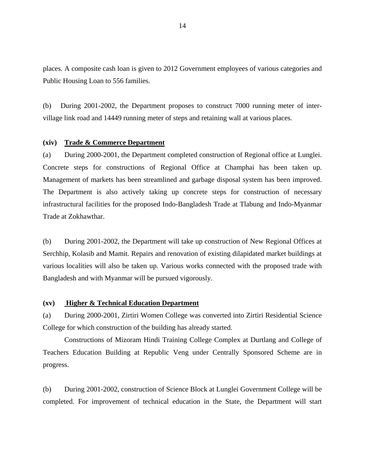places. A composite cash loan is given to 2012 Government employees of various categories and Public Housing Loan to 556 families.

(b) During 2001-2002, the Department proposes to construct 7000 running meter of intervillage link road and 14449 running meter of steps and retaining wall at various places.

# **(xiv) Trade & Commerce Department**

(a) During 2000-2001, the Department completed construction of Regional office at Lunglei. Concrete steps for constructions of Regional Office at Champhai has been taken up. Management of markets has been streamlined and garbage disposal system has been improved. The Department is also actively taking up concrete steps for construction of necessary infrastructural facilities for the proposed Indo-Bangladesh Trade at Tlabung and Indo-Myanmar Trade at Zokhawthar.

(b) During 2001-2002, the Department will take up construction of New Regional Offices at Serchhip, Kolasib and Mamit. Repairs and renovation of existing dilapidated market buildings at various localities will also be taken up. Various works connected with the proposed trade with Bangladesh and with Myanmar will be pursued vigorously.

# **(xv) Higher & Technical Education Department**

(a) During 2000-2001, Zirtiri Women College was converted into Zirtiri Residential Science College for which construction of the building has already started.

Constructions of Mizoram Hindi Training College Complex at Durtlang and College of Teachers Education Building at Republic Veng under Centrally Sponsored Scheme are in progress.

(b) During 2001-2002, construction of Science Block at Lunglei Government College will be completed. For improvement of technical education in the State, the Department will start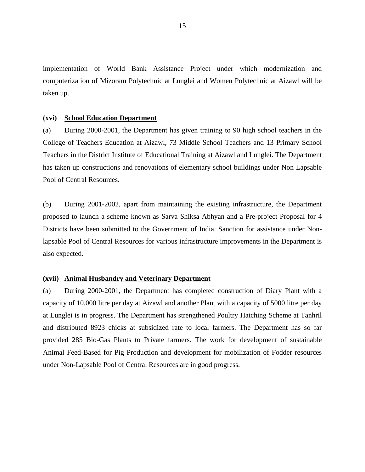implementation of World Bank Assistance Project under which modernization and computerization of Mizoram Polytechnic at Lunglei and Women Polytechnic at Aizawl will be taken up.

#### **(xvi) School Education Department**

(a) During 2000-2001, the Department has given training to 90 high school teachers in the College of Teachers Education at Aizawl, 73 Middle School Teachers and 13 Primary School Teachers in the District Institute of Educational Training at Aizawl and Lunglei. The Department has taken up constructions and renovations of elementary school buildings under Non Lapsable Pool of Central Resources.

(b) During 2001-2002, apart from maintaining the existing infrastructure, the Department proposed to launch a scheme known as Sarva Shiksa Abhyan and a Pre-project Proposal for 4 Districts have been submitted to the Government of India. Sanction for assistance under Nonlapsable Pool of Central Resources for various infrastructure improvements in the Department is also expected.

## **(xvii) Animal Husbandry and Veterinary Department**

(a) During 2000-2001, the Department has completed construction of Diary Plant with a capacity of 10,000 litre per day at Aizawl and another Plant with a capacity of 5000 litre per day at Lunglei is in progress. The Department has strengthened Poultry Hatching Scheme at Tanhril and distributed 8923 chicks at subsidized rate to local farmers. The Department has so far provided 285 Bio-Gas Plants to Private farmers. The work for development of sustainable Animal Feed-Based for Pig Production and development for mobilization of Fodder resources under Non-Lapsable Pool of Central Resources are in good progress.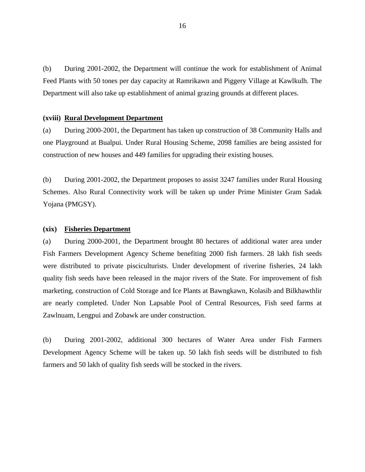(b) During 2001-2002, the Department will continue the work for establishment of Animal Feed Plants with 50 tones per day capacity at Ramrikawn and Piggery Village at Kawlkulh. The Department will also take up establishment of animal grazing grounds at different places.

#### **(xviii) Rural Development Department**

(a) During 2000-2001, the Department has taken up construction of 38 Community Halls and one Playground at Bualpui. Under Rural Housing Scheme, 2098 families are being assisted for construction of new houses and 449 families for upgrading their existing houses.

(b) During 2001-2002, the Department proposes to assist 3247 families under Rural Housing Schemes. Also Rural Connectivity work will be taken up under Prime Minister Gram Sadak Yojana (PMGSY).

# **(xix) Fisheries Department**

(a) During 2000-2001, the Department brought 80 hectares of additional water area under Fish Farmers Development Agency Scheme benefiting 2000 fish farmers. 28 lakh fish seeds were distributed to private pisciculturists. Under development of riverine fisheries, 24 lakh quality fish seeds have been released in the major rivers of the State. For improvement of fish marketing, construction of Cold Storage and Ice Plants at Bawngkawn, Kolasib and Bilkhawthlir are nearly completed. Under Non Lapsable Pool of Central Resources, Fish seed farms at Zawlnuam, Lengpui and Zobawk are under construction.

(b) During 2001-2002, additional 300 hectares of Water Area under Fish Farmers Development Agency Scheme will be taken up. 50 lakh fish seeds will be distributed to fish farmers and 50 lakh of quality fish seeds will be stocked in the rivers.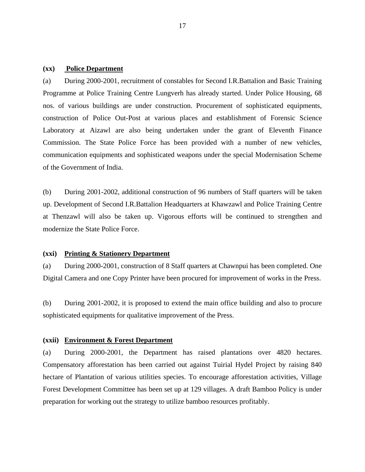#### **(xx) Police Department**

(a) During 2000-2001, recruitment of constables for Second I.R.Battalion and Basic Training Programme at Police Training Centre Lungverh has already started. Under Police Housing, 68 nos. of various buildings are under construction. Procurement of sophisticated equipments, construction of Police Out-Post at various places and establishment of Forensic Science Laboratory at Aizawl are also being undertaken under the grant of Eleventh Finance Commission. The State Police Force has been provided with a number of new vehicles, communication equipments and sophisticated weapons under the special Modernisation Scheme of the Government of India.

(b) During 2001-2002, additional construction of 96 numbers of Staff quarters will be taken up. Development of Second I.R.Battalion Headquarters at Khawzawl and Police Training Centre at Thenzawl will also be taken up. Vigorous efforts will be continued to strengthen and modernize the State Police Force.

### **(xxi) Printing & Stationery Department**

(a) During 2000-2001, construction of 8 Staff quarters at Chawnpui has been completed. One Digital Camera and one Copy Printer have been procured for improvement of works in the Press.

(b) During 2001-2002, it is proposed to extend the main office building and also to procure sophisticated equipments for qualitative improvement of the Press.

#### **(xxii) Environment & Forest Department**

(a) During 2000-2001, the Department has raised plantations over 4820 hectares. Compensatory afforestation has been carried out against Tuirial Hydel Project by raising 840 hectare of Plantation of various utilities species. To encourage afforestation activities, Village Forest Development Committee has been set up at 129 villages. A draft Bamboo Policy is under preparation for working out the strategy to utilize bamboo resources profitably.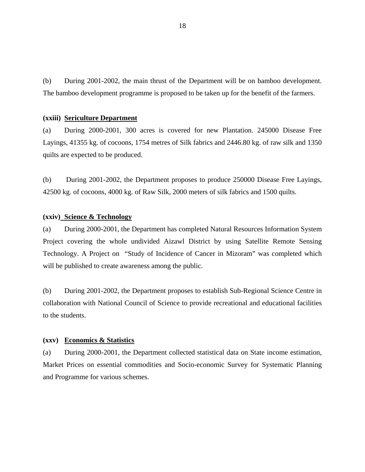(b) During 2001-2002, the main thrust of the Department will be on bamboo development. The bamboo development programme is proposed to be taken up for the benefit of the farmers.

## **(xxiii) Sericulture Department**

(a) During 2000-2001, 300 acres is covered for new Plantation. 245000 Disease Free Layings, 41355 kg. of cocoons, 1754 metres of Silk fabrics and 2446.80 kg. of raw silk and 1350 quilts are expected to be produced.

(b) During 2001-2002, the Department proposes to produce 250000 Disease Free Layings, 42500 kg. of cocoons, 4000 kg. of Raw Silk, 2000 meters of silk fabrics and 1500 quilts.

## **(xxiv) Science & Technology**

(a) During 2000-2001, the Department has completed Natural Resources Information System Project covering the whole undivided Aizawl District by using Satellite Remote Sensing Technology. A Project on "Study of Incidence of Cancer in Mizoram" was completed which will be published to create awareness among the public.

(b) During 2001-2002, the Department proposes to establish Sub-Regional Science Centre in collaboration with National Council of Science to provide recreational and educational facilities to the students.

#### **(xxv) Economics & Statistics**

(a) During 2000-2001, the Department collected statistical data on State income estimation, Market Prices on essential commodities and Socio-economic Survey for Systematic Planning and Programme for various schemes.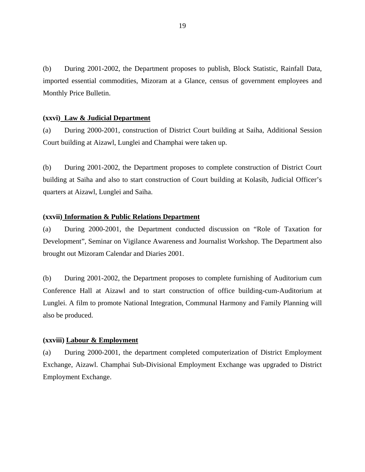(b) During 2001-2002, the Department proposes to publish, Block Statistic, Rainfall Data, imported essential commodities, Mizoram at a Glance, census of government employees and Monthly Price Bulletin.

## **(xxvi) Law & Judicial Department**

(a) During 2000-2001, construction of District Court building at Saiha, Additional Session Court building at Aizawl, Lunglei and Champhai were taken up.

(b) During 2001-2002, the Department proposes to complete construction of District Court building at Saiha and also to start construction of Court building at Kolasib, Judicial Officer's quarters at Aizawl, Lunglei and Saiha.

## **(xxvii) Information & Public Relations Department**

(a) During 2000-2001, the Department conducted discussion on "Role of Taxation for Development", Seminar on Vigilance Awareness and Journalist Workshop. The Department also brought out Mizoram Calendar and Diaries 2001.

(b) During 2001-2002, the Department proposes to complete furnishing of Auditorium cum Conference Hall at Aizawl and to start construction of office building-cum-Auditorium at Lunglei. A film to promote National Integration, Communal Harmony and Family Planning will also be produced.

#### **(xxviii) Labour & Employment**

(a) During 2000-2001, the department completed computerization of District Employment Exchange, Aizawl. Champhai Sub-Divisional Employment Exchange was upgraded to District Employment Exchange.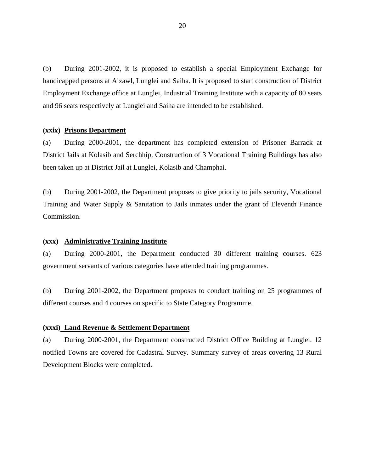(b) During 2001-2002, it is proposed to establish a special Employment Exchange for handicapped persons at Aizawl, Lunglei and Saiha. It is proposed to start construction of District Employment Exchange office at Lunglei, Industrial Training Institute with a capacity of 80 seats and 96 seats respectively at Lunglei and Saiha are intended to be established.

# **(xxix) Prisons Department**

(a) During 2000-2001, the department has completed extension of Prisoner Barrack at District Jails at Kolasib and Serchhip. Construction of 3 Vocational Training Buildings has also been taken up at District Jail at Lunglei, Kolasib and Champhai.

(b) During 2001-2002, the Department proposes to give priority to jails security, Vocational Training and Water Supply & Sanitation to Jails inmates under the grant of Eleventh Finance Commission.

## **(xxx) Administrative Training Institute**

(a) During 2000-2001, the Department conducted 30 different training courses. 623 government servants of various categories have attended training programmes.

(b) During 2001-2002, the Department proposes to conduct training on 25 programmes of different courses and 4 courses on specific to State Category Programme.

### **(xxxi) Land Revenue & Settlement Department**

(a) During 2000-2001, the Department constructed District Office Building at Lunglei. 12 notified Towns are covered for Cadastral Survey. Summary survey of areas covering 13 Rural Development Blocks were completed.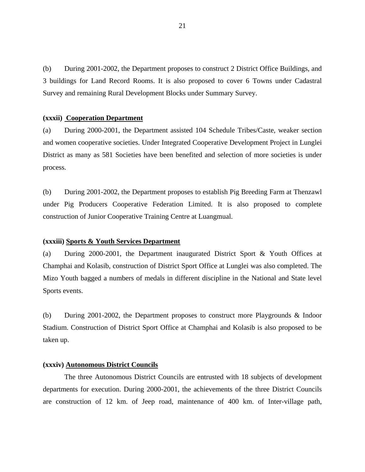(b) During 2001-2002, the Department proposes to construct 2 District Office Buildings, and 3 buildings for Land Record Rooms. It is also proposed to cover 6 Towns under Cadastral Survey and remaining Rural Development Blocks under Summary Survey.

#### **(xxxii) Cooperation Department**

(a) During 2000-2001, the Department assisted 104 Schedule Tribes/Caste, weaker section and women cooperative societies. Under Integrated Cooperative Development Project in Lunglei District as many as 581 Societies have been benefited and selection of more societies is under process.

(b) During 2001-2002, the Department proposes to establish Pig Breeding Farm at Thenzawl under Pig Producers Cooperative Federation Limited. It is also proposed to complete construction of Junior Cooperative Training Centre at Luangmual.

#### **(xxxiii) Sports & Youth Services Department**

(a) During 2000-2001, the Department inaugurated District Sport & Youth Offices at Champhai and Kolasib, construction of District Sport Office at Lunglei was also completed. The Mizo Youth bagged a numbers of medals in different discipline in the National and State level Sports events.

(b) During 2001-2002, the Department proposes to construct more Playgrounds & Indoor Stadium. Construction of District Sport Office at Champhai and Kolasib is also proposed to be taken up.

# **(xxxiv) Autonomous District Councils**

The three Autonomous District Councils are entrusted with 18 subjects of development departments for execution. During 2000-2001, the achievements of the three District Councils are construction of 12 km. of Jeep road, maintenance of 400 km. of Inter-village path,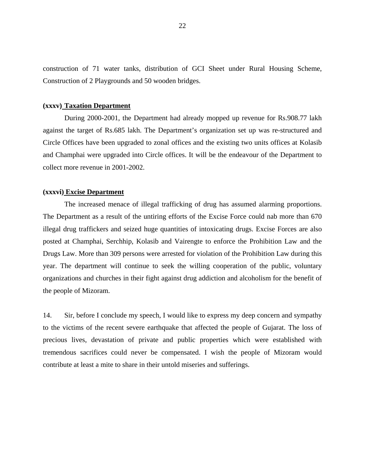construction of 71 water tanks, distribution of GCI Sheet under Rural Housing Scheme, Construction of 2 Playgrounds and 50 wooden bridges.

#### **(xxxv) Taxation Department**

During 2000-2001, the Department had already mopped up revenue for Rs.908.77 lakh against the target of Rs.685 lakh. The Department's organization set up was re-structured and Circle Offices have been upgraded to zonal offices and the existing two units offices at Kolasib and Champhai were upgraded into Circle offices. It will be the endeavour of the Department to collect more revenue in 2001-2002.

#### **(xxxvi) Excise Department**

The increased menace of illegal trafficking of drug has assumed alarming proportions. The Department as a result of the untiring efforts of the Excise Force could nab more than 670 illegal drug traffickers and seized huge quantities of intoxicating drugs. Excise Forces are also posted at Champhai, Serchhip, Kolasib and Vairengte to enforce the Prohibition Law and the Drugs Law. More than 309 persons were arrested for violation of the Prohibition Law during this year. The department will continue to seek the willing cooperation of the public, voluntary organizations and churches in their fight against drug addiction and alcoholism for the benefit of the people of Mizoram.

14. Sir, before I conclude my speech, I would like to express my deep concern and sympathy to the victims of the recent severe earthquake that affected the people of Gujarat. The loss of precious lives, devastation of private and public properties which were established with tremendous sacrifices could never be compensated. I wish the people of Mizoram would contribute at least a mite to share in their untold miseries and sufferings.